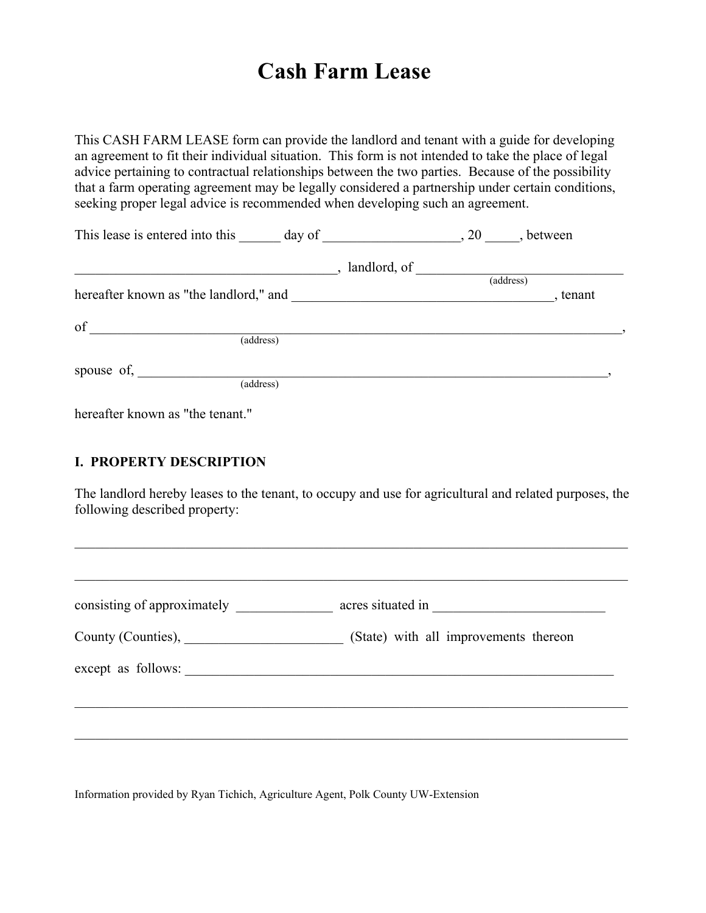# **Cash Farm Lease**

This CASH FARM LEASE form can provide the landlord and tenant with a guide for developing an agreement to fit their individual situation. This form is not intended to take the place of legal advice pertaining to contractual relationships between the two parties. Because of the possibility that a farm operating agreement may be legally considered a partnership under certain conditions, seeking proper legal advice is recommended when developing such an agreement.

| This lease is entered into this day of 20, between            |              |           |        |
|---------------------------------------------------------------|--------------|-----------|--------|
|                                                               | landlord, of |           |        |
|                                                               |              | (address) |        |
|                                                               |              |           | tenant |
| of                                                            |              |           |        |
| (address)                                                     |              |           |        |
|                                                               |              |           |        |
| spouse of, $\frac{1}{\sqrt{1-\frac{1}{2}} \cdot \frac{1}{2}}$ |              |           |        |
| (address)                                                     |              |           |        |
|                                                               |              |           |        |

hereafter known as "the tenant."

## **I. PROPERTY DESCRIPTION**

The landlord hereby leases to the tenant, to occupy and use for agricultural and related purposes, the following described property:

 $\_$  , and the contribution of the contribution of the contribution of the contribution of  $\mathcal{L}_\text{max}$ 

| consisting of approximately |                                                                   |
|-----------------------------|-------------------------------------------------------------------|
|                             | County (Counties), Counties (State) with all improvements thereon |
| except as follows:          |                                                                   |
|                             |                                                                   |

Information provided by Ryan Tichich, Agriculture Agent, Polk County UW-Extension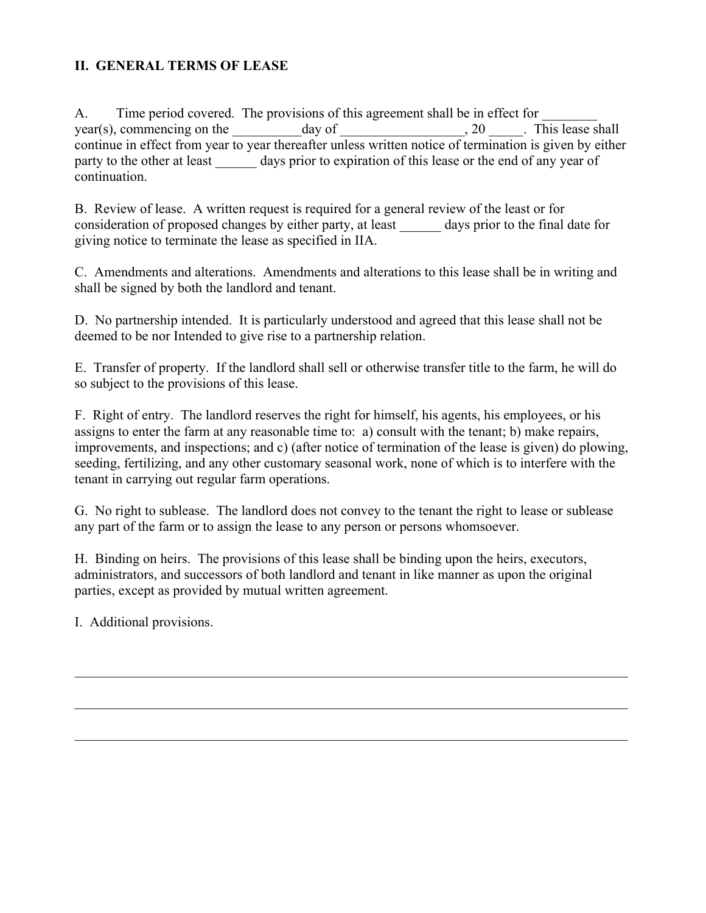# **II. GENERAL TERMS OF LEASE**

A. Time period covered. The provisions of this agreement shall be in effect for year(s), commencing on the  $\frac{day \text{ of}}{x}$  and  $\frac{day}{x}$  and  $\frac{dy}{x}$ . This lease shall continue in effect from year to year thereafter unless written notice of termination is given by either party to the other at least days prior to expiration of this lease or the end of any year of continuation.

B. Review of lease. A written request is required for a general review of the least or for consideration of proposed changes by either party, at least days prior to the final date for giving notice to terminate the lease as specified in IIA.

C. Amendments and alterations. Amendments and alterations to this lease shall be in writing and shall be signed by both the landlord and tenant.

D. No partnership intended. It is particularly understood and agreed that this lease shall not be deemed to be nor Intended to give rise to a partnership relation.

E. Transfer of property. If the landlord shall sell or otherwise transfer title to the farm, he will do so subject to the provisions of this lease.

F. Right of entry. The landlord reserves the right for himself, his agents, his employees, or his assigns to enter the farm at any reasonable time to: a) consult with the tenant; b) make repairs, improvements, and inspections; and c) (after notice of termination of the lease is given) do plowing, seeding, fertilizing, and any other customary seasonal work, none of which is to interfere with the tenant in carrying out regular farm operations.

G. No right to sublease. The landlord does not convey to the tenant the right to lease or sublease any part of the farm or to assign the lease to any person or persons whomsoever.

H. Binding on heirs. The provisions of this lease shall be binding upon the heirs, executors, administrators, and successors of both landlord and tenant in like manner as upon the original parties, except as provided by mutual written agreement.

 $\_$  , and the contribution of the contribution of the contribution of the contribution of  $\mathcal{L}_\text{max}$ 

 $\_$  , and the contribution of the contribution of the contribution of the contribution of  $\mathcal{L}_\text{max}$ 

 $\mathcal{L}_\mathcal{L} = \{ \mathcal{L}_\mathcal{L} = \{ \mathcal{L}_\mathcal{L} = \{ \mathcal{L}_\mathcal{L} = \{ \mathcal{L}_\mathcal{L} = \{ \mathcal{L}_\mathcal{L} = \{ \mathcal{L}_\mathcal{L} = \{ \mathcal{L}_\mathcal{L} = \{ \mathcal{L}_\mathcal{L} = \{ \mathcal{L}_\mathcal{L} = \{ \mathcal{L}_\mathcal{L} = \{ \mathcal{L}_\mathcal{L} = \{ \mathcal{L}_\mathcal{L} = \{ \mathcal{L}_\mathcal{L} = \{ \mathcal{L}_\mathcal{$ 

I. Additional provisions.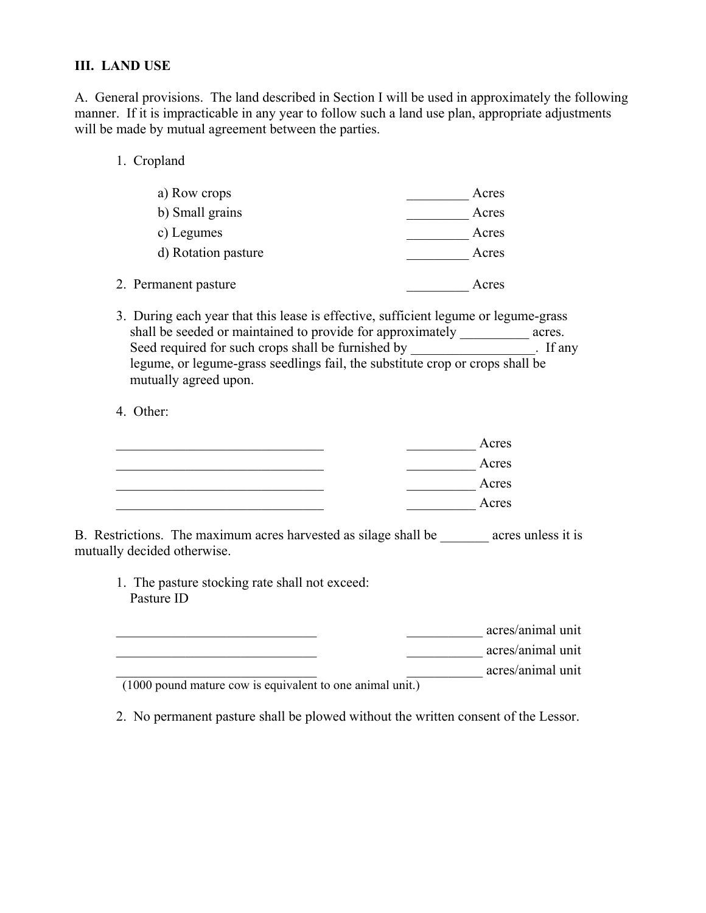## **III. LAND USE**

A. General provisions. The land described in Section I will be used in approximately the following manner. If it is impracticable in any year to follow such a land use plan, appropriate adjustments will be made by mutual agreement between the parties.

1. Cropland

| a) Row crops         | Acres |
|----------------------|-------|
| b) Small grains      | Acres |
| c) Legumes           | Acres |
| d) Rotation pasture  | Acres |
| 2. Permanent pasture | Acres |

3. During each year that this lease is effective, sufficient legume or legume-grass shall be seeded or maintained to provide for approximately acres. Seed required for such crops shall be furnished by \_\_\_\_\_\_\_\_\_\_\_\_\_\_\_\_. If any legume, or legume-grass seedlings fail, the substitute crop or crops shall be mutually agreed upon.

4. Other:

| Acres |
|-------|
| Acres |
| Acres |
| Acres |

B. Restrictions. The maximum acres harvested as silage shall be \_\_\_\_\_\_\_\_ acres unless it is mutually decided otherwise.

1. The pasture stocking rate shall not exceed: Pasture ID

\_\_\_\_\_\_\_\_\_\_\_\_\_\_\_\_\_\_\_\_\_\_\_\_\_\_\_\_\_ \_\_\_\_\_\_\_\_\_\_\_ acres/animal unit

\_\_\_\_\_\_\_\_\_\_\_\_\_\_\_\_\_\_\_\_\_\_\_\_\_\_\_\_\_ \_\_\_\_\_\_\_\_\_\_\_ acres/animal unit

\_\_\_\_\_\_\_\_\_\_\_\_\_\_\_\_\_\_\_\_\_\_\_\_\_\_\_\_\_ \_\_\_\_\_\_\_\_\_\_\_ acres/animal unit

 $(1000$  pound mature cow is equivalent to one animal unit.)

2. No permanent pasture shall be plowed without the written consent of the Lessor.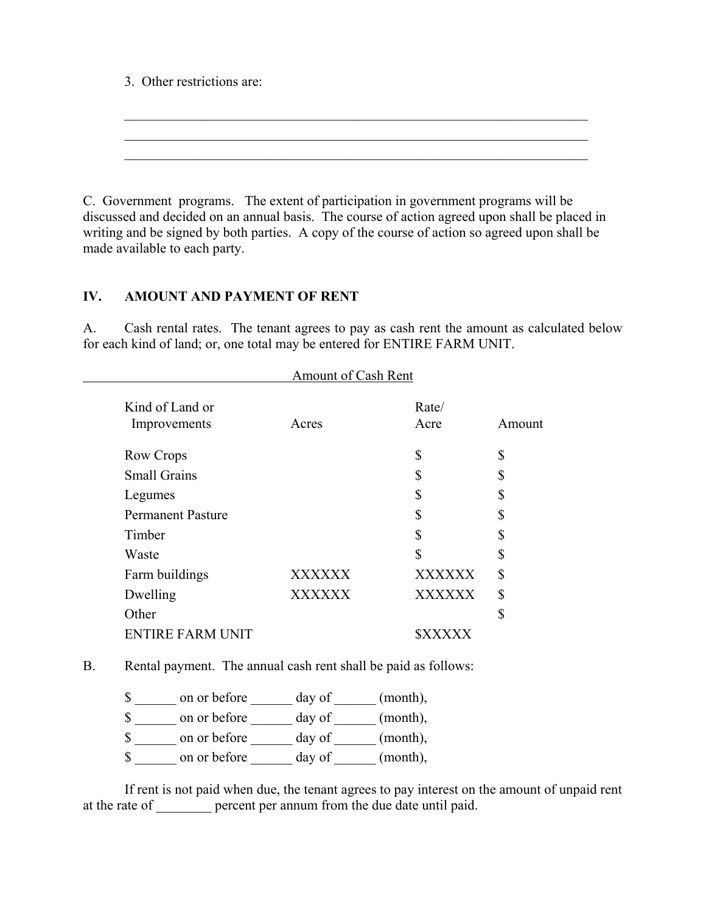3. Other restrictions are:

C. Government programs. The extent of participation in government programs will be discussed and decided on an annual basis. The course of action agreed upon shall be placed in writing and be signed by both parties. A copy of the course of action so agreed upon shall be made available to each party.

 $\mathcal{L}_\mathcal{L} = \mathcal{L}_\mathcal{L} = \mathcal{L}_\mathcal{L} = \mathcal{L}_\mathcal{L} = \mathcal{L}_\mathcal{L} = \mathcal{L}_\mathcal{L} = \mathcal{L}_\mathcal{L} = \mathcal{L}_\mathcal{L} = \mathcal{L}_\mathcal{L} = \mathcal{L}_\mathcal{L} = \mathcal{L}_\mathcal{L} = \mathcal{L}_\mathcal{L} = \mathcal{L}_\mathcal{L} = \mathcal{L}_\mathcal{L} = \mathcal{L}_\mathcal{L} = \mathcal{L}_\mathcal{L} = \mathcal{L}_\mathcal{L}$  $\mathcal{L}_\text{max} = \mathcal{L}_\text{max} = \mathcal{L}_\text{max} = \mathcal{L}_\text{max} = \mathcal{L}_\text{max} = \mathcal{L}_\text{max} = \mathcal{L}_\text{max} = \mathcal{L}_\text{max} = \mathcal{L}_\text{max} = \mathcal{L}_\text{max} = \mathcal{L}_\text{max} = \mathcal{L}_\text{max} = \mathcal{L}_\text{max} = \mathcal{L}_\text{max} = \mathcal{L}_\text{max} = \mathcal{L}_\text{max} = \mathcal{L}_\text{max} = \mathcal{L}_\text{max} = \mathcal{$  $\mathcal{L}_\mathcal{L} = \mathcal{L}_\mathcal{L} = \mathcal{L}_\mathcal{L} = \mathcal{L}_\mathcal{L} = \mathcal{L}_\mathcal{L} = \mathcal{L}_\mathcal{L} = \mathcal{L}_\mathcal{L} = \mathcal{L}_\mathcal{L} = \mathcal{L}_\mathcal{L} = \mathcal{L}_\mathcal{L} = \mathcal{L}_\mathcal{L} = \mathcal{L}_\mathcal{L} = \mathcal{L}_\mathcal{L} = \mathcal{L}_\mathcal{L} = \mathcal{L}_\mathcal{L} = \mathcal{L}_\mathcal{L} = \mathcal{L}_\mathcal{L}$ 

#### **IV. AMOUNT AND PAYMENT OF RENT**

A. Cash rental rates. The tenant agrees to pay as cash rent the amount as calculated below for each kind of land; or, one total may be entered for ENTIRE FARM UNIT.

|                          | Amount of Cash Rent |               |        |
|--------------------------|---------------------|---------------|--------|
| Kind of Land or          |                     | Rate/         |        |
| Improvements             | Acres               | Acre          | Amount |
| Row Crops                |                     | \$            | \$     |
| <b>Small Grains</b>      |                     | \$            | \$     |
| Legumes                  |                     | \$            | \$     |
| <b>Permanent Pasture</b> |                     | \$            | \$     |
| Timber                   |                     | \$            | \$     |
| Waste                    |                     | \$            | \$     |
| Farm buildings           | <b>XXXXXX</b>       | XXXXXX        | \$     |
| Dwelling                 | <b>XXXXXX</b>       | <b>XXXXXX</b> | \$     |
| Other                    |                     |               | \$     |
| <b>ENTIRE FARM UNIT</b>  |                     |               |        |

B. Rental payment. The annual cash rent shall be paid as follows:

| $\mathcal{S}$ | on or before | day of | (month), |
|---------------|--------------|--------|----------|
| $\mathbb{S}$  | on or before | day of | (month), |
| $\mathcal{S}$ | on or before | day of | (month), |
| <sup>\$</sup> | on or before | day of | (month), |

If rent is not paid when due, the tenant agrees to pay interest on the amount of unpaid rent at the rate of \_\_\_\_\_\_\_\_ percent per annum from the due date until paid.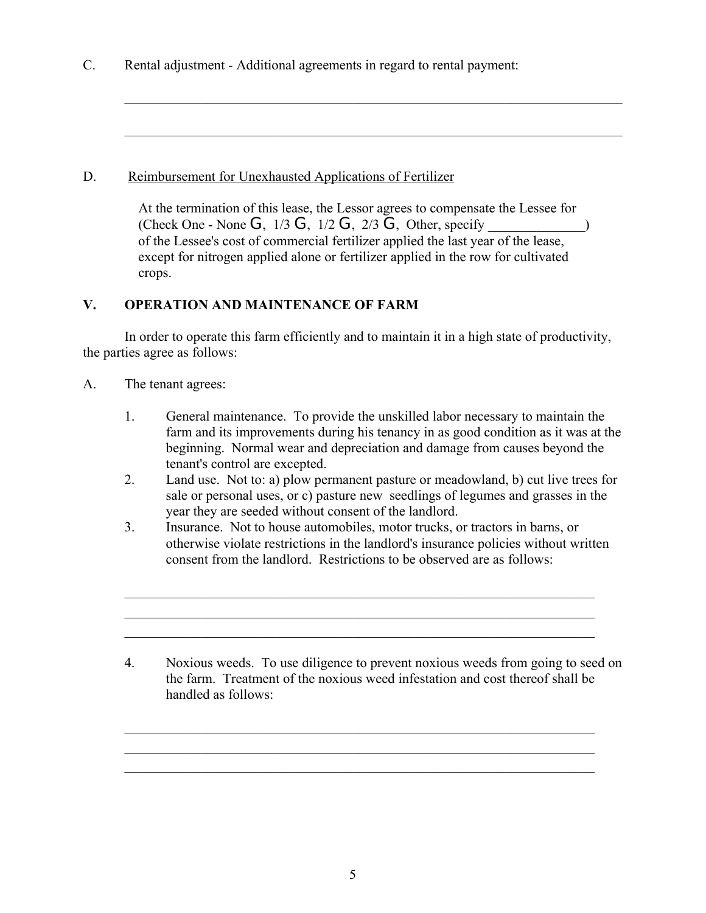C. Rental adjustment - Additional agreements in regard to rental payment:

# D. Reimbursement for Unexhausted Applications of Fertilizer

 At the termination of this lease, the Lessor agrees to compensate the Lessee for (Check One - None G,  $1/3$  G,  $1/2$  G,  $2/3$  G, Other, specify  $\qquad \qquad$ ) of the Lessee's cost of commercial fertilizer applied the last year of the lease, except for nitrogen applied alone or fertilizer applied in the row for cultivated crops.

 $\mathcal{L}_\mathcal{L} = \mathcal{L}_\mathcal{L} = \mathcal{L}_\mathcal{L} = \mathcal{L}_\mathcal{L} = \mathcal{L}_\mathcal{L} = \mathcal{L}_\mathcal{L} = \mathcal{L}_\mathcal{L} = \mathcal{L}_\mathcal{L} = \mathcal{L}_\mathcal{L} = \mathcal{L}_\mathcal{L} = \mathcal{L}_\mathcal{L} = \mathcal{L}_\mathcal{L} = \mathcal{L}_\mathcal{L} = \mathcal{L}_\mathcal{L} = \mathcal{L}_\mathcal{L} = \mathcal{L}_\mathcal{L} = \mathcal{L}_\mathcal{L}$ 

 $\mathcal{L}_\text{max} = \frac{1}{2} \sum_{i=1}^n \mathcal{L}_\text{max}(\mathbf{z}_i - \mathbf{z}_i)$ 

# **V. OPERATION AND MAINTENANCE OF FARM**

In order to operate this farm efficiently and to maintain it in a high state of productivity, the parties agree as follows:

- A. The tenant agrees:
	- 1. General maintenance. To provide the unskilled labor necessary to maintain the farm and its improvements during his tenancy in as good condition as it was at the beginning. Normal wear and depreciation and damage from causes beyond the tenant's control are excepted.
	- 2. Land use. Not to: a) plow permanent pasture or meadowland, b) cut live trees for sale or personal uses, or c) pasture new seedlings of legumes and grasses in the year they are seeded without consent of the landlord.
	- 3. Insurance. Not to house automobiles, motor trucks, or tractors in barns, or otherwise violate restrictions in the landlord's insurance policies without written consent from the landlord. Restrictions to be observed are as follows:

 $\mathcal{L}_\mathcal{L} = \mathcal{L}_\mathcal{L} = \mathcal{L}_\mathcal{L} = \mathcal{L}_\mathcal{L} = \mathcal{L}_\mathcal{L} = \mathcal{L}_\mathcal{L} = \mathcal{L}_\mathcal{L} = \mathcal{L}_\mathcal{L} = \mathcal{L}_\mathcal{L} = \mathcal{L}_\mathcal{L} = \mathcal{L}_\mathcal{L} = \mathcal{L}_\mathcal{L} = \mathcal{L}_\mathcal{L} = \mathcal{L}_\mathcal{L} = \mathcal{L}_\mathcal{L} = \mathcal{L}_\mathcal{L} = \mathcal{L}_\mathcal{L}$  $\mathcal{L}_\mathcal{L} = \mathcal{L}_\mathcal{L} = \mathcal{L}_\mathcal{L} = \mathcal{L}_\mathcal{L} = \mathcal{L}_\mathcal{L} = \mathcal{L}_\mathcal{L} = \mathcal{L}_\mathcal{L} = \mathcal{L}_\mathcal{L} = \mathcal{L}_\mathcal{L} = \mathcal{L}_\mathcal{L} = \mathcal{L}_\mathcal{L} = \mathcal{L}_\mathcal{L} = \mathcal{L}_\mathcal{L} = \mathcal{L}_\mathcal{L} = \mathcal{L}_\mathcal{L} = \mathcal{L}_\mathcal{L} = \mathcal{L}_\mathcal{L}$  $\mathcal{L}_\text{max} = \frac{1}{2} \sum_{i=1}^n \mathcal{L}_\text{max}(\mathbf{z}_i - \mathbf{z}_i)$ 

 $\mathcal{L}_\text{max} = \frac{1}{2} \sum_{i=1}^n \mathcal{L}_\text{max}(\mathbf{z}_i - \mathbf{z}_i)$  $\mathcal{L}_\text{max} = \frac{1}{2} \sum_{i=1}^n \mathcal{L}_\text{max}(\mathbf{z}_i - \mathbf{z}_i)$  $\mathcal{L}_\mathcal{L} = \mathcal{L}_\mathcal{L} = \mathcal{L}_\mathcal{L} = \mathcal{L}_\mathcal{L} = \mathcal{L}_\mathcal{L} = \mathcal{L}_\mathcal{L} = \mathcal{L}_\mathcal{L} = \mathcal{L}_\mathcal{L} = \mathcal{L}_\mathcal{L} = \mathcal{L}_\mathcal{L} = \mathcal{L}_\mathcal{L} = \mathcal{L}_\mathcal{L} = \mathcal{L}_\mathcal{L} = \mathcal{L}_\mathcal{L} = \mathcal{L}_\mathcal{L} = \mathcal{L}_\mathcal{L} = \mathcal{L}_\mathcal{L}$ 

4. Noxious weeds. To use diligence to prevent noxious weeds from going to seed on the farm. Treatment of the noxious weed infestation and cost thereof shall be handled as follows: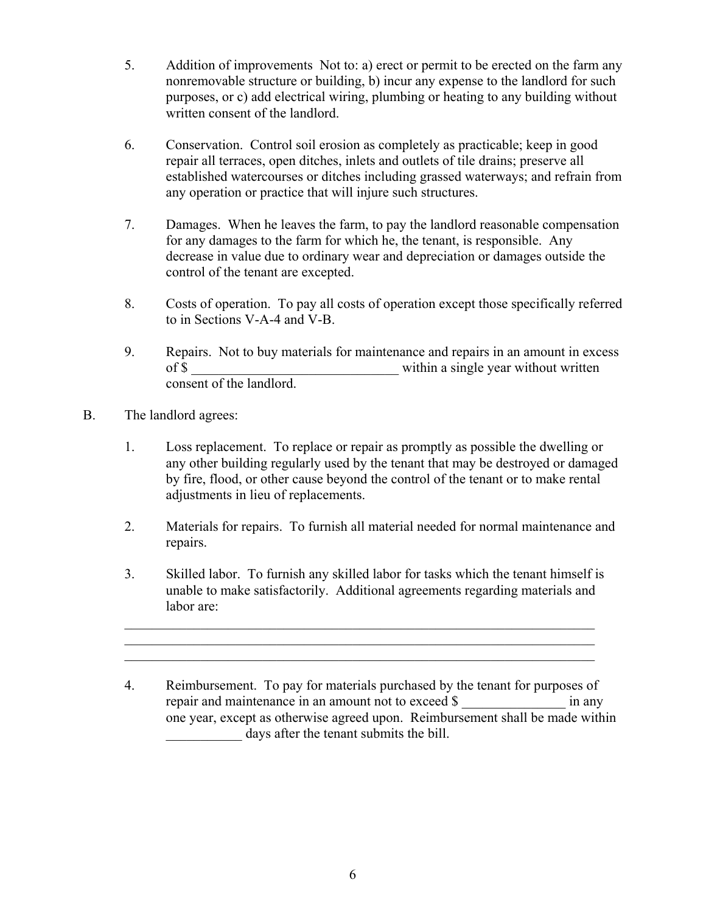- 5. Addition of improvements Not to: a) erect or permit to be erected on the farm any nonremovable structure or building, b) incur any expense to the landlord for such purposes, or c) add electrical wiring, plumbing or heating to any building without written consent of the landlord.
- 6. Conservation. Control soil erosion as completely as practicable; keep in good repair all terraces, open ditches, inlets and outlets of tile drains; preserve all established watercourses or ditches including grassed waterways; and refrain from any operation or practice that will injure such structures.
- 7. Damages. When he leaves the farm, to pay the landlord reasonable compensation for any damages to the farm for which he, the tenant, is responsible. Any decrease in value due to ordinary wear and depreciation or damages outside the control of the tenant are excepted.
- 8. Costs of operation. To pay all costs of operation except those specifically referred to in Sections V-A-4 and V-B.
- 9. Repairs. Not to buy materials for maintenance and repairs in an amount in excess of \$ within a single year without written consent of the landlord.
- B. The landlord agrees:
	- 1. Loss replacement. To replace or repair as promptly as possible the dwelling or any other building regularly used by the tenant that may be destroyed or damaged by fire, flood, or other cause beyond the control of the tenant or to make rental adjustments in lieu of replacements.
	- 2. Materials for repairs. To furnish all material needed for normal maintenance and repairs.
	- 3. Skilled labor. To furnish any skilled labor for tasks which the tenant himself is unable to make satisfactorily. Additional agreements regarding materials and labor are:

 $\mathcal{L}_\text{max} = \frac{1}{2} \sum_{i=1}^{n} \frac{1}{2} \sum_{i=1}^{n} \frac{1}{2} \sum_{i=1}^{n} \frac{1}{2} \sum_{i=1}^{n} \frac{1}{2} \sum_{i=1}^{n} \frac{1}{2} \sum_{i=1}^{n} \frac{1}{2} \sum_{i=1}^{n} \frac{1}{2} \sum_{i=1}^{n} \frac{1}{2} \sum_{i=1}^{n} \frac{1}{2} \sum_{i=1}^{n} \frac{1}{2} \sum_{i=1}^{n} \frac{1}{2} \sum_{i=1}^{n} \frac{1$  $\mathcal{L}_\text{max} = \frac{1}{2} \sum_{i=1}^{n} \frac{1}{2} \sum_{i=1}^{n} \frac{1}{2} \sum_{i=1}^{n} \frac{1}{2} \sum_{i=1}^{n} \frac{1}{2} \sum_{i=1}^{n} \frac{1}{2} \sum_{i=1}^{n} \frac{1}{2} \sum_{i=1}^{n} \frac{1}{2} \sum_{i=1}^{n} \frac{1}{2} \sum_{i=1}^{n} \frac{1}{2} \sum_{i=1}^{n} \frac{1}{2} \sum_{i=1}^{n} \frac{1}{2} \sum_{i=1}^{n} \frac{1$  $\mathcal{L}_\text{max} = \frac{1}{2} \sum_{i=1}^{n} \frac{1}{2} \sum_{i=1}^{n} \frac{1}{2} \sum_{i=1}^{n} \frac{1}{2} \sum_{i=1}^{n} \frac{1}{2} \sum_{i=1}^{n} \frac{1}{2} \sum_{i=1}^{n} \frac{1}{2} \sum_{i=1}^{n} \frac{1}{2} \sum_{i=1}^{n} \frac{1}{2} \sum_{i=1}^{n} \frac{1}{2} \sum_{i=1}^{n} \frac{1}{2} \sum_{i=1}^{n} \frac{1}{2} \sum_{i=1}^{n} \frac{1$ 

 <sup>4.</sup> Reimbursement. To pay for materials purchased by the tenant for purposes of repair and maintenance in an amount not to exceed \$ in any one year, except as otherwise agreed upon. Reimbursement shall be made within days after the tenant submits the bill.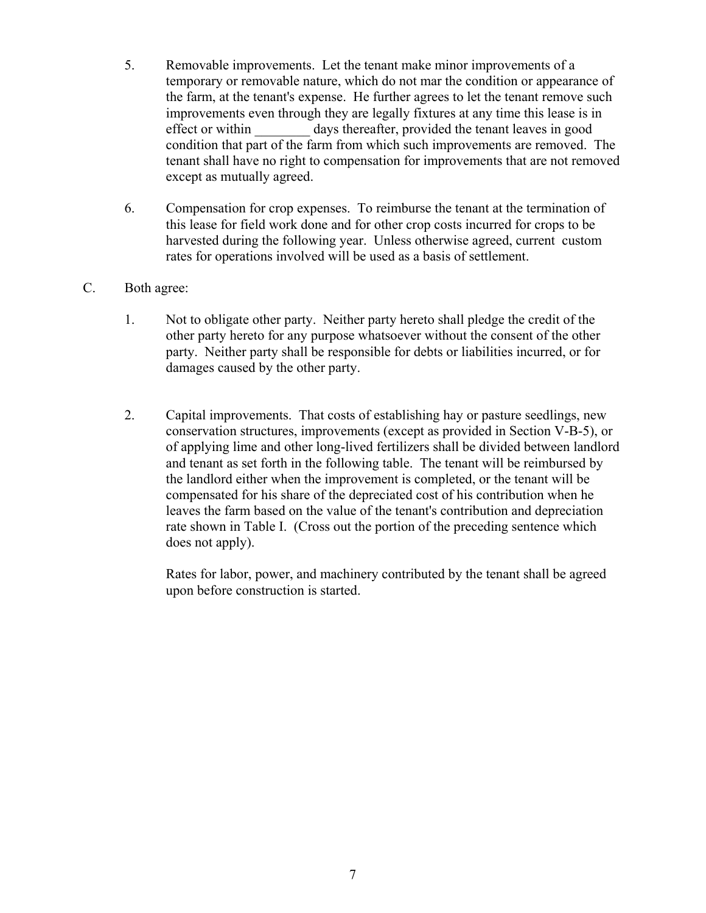- 5. Removable improvements. Let the tenant make minor improvements of a temporary or removable nature, which do not mar the condition or appearance of the farm, at the tenant's expense. He further agrees to let the tenant remove such improvements even through they are legally fixtures at any time this lease is in effect or within days thereafter, provided the tenant leaves in good condition that part of the farm from which such improvements are removed. The tenant shall have no right to compensation for improvements that are not removed except as mutually agreed.
- 6. Compensation for crop expenses. To reimburse the tenant at the termination of this lease for field work done and for other crop costs incurred for crops to be harvested during the following year. Unless otherwise agreed, current custom rates for operations involved will be used as a basis of settlement.

## C. Both agree:

- 1. Not to obligate other party. Neither party hereto shall pledge the credit of the other party hereto for any purpose whatsoever without the consent of the other party. Neither party shall be responsible for debts or liabilities incurred, or for damages caused by the other party.
- 2. Capital improvements. That costs of establishing hay or pasture seedlings, new conservation structures, improvements (except as provided in Section V-B-5), or of applying lime and other long-lived fertilizers shall be divided between landlord and tenant as set forth in the following table. The tenant will be reimbursed by the landlord either when the improvement is completed, or the tenant will be compensated for his share of the depreciated cost of his contribution when he leaves the farm based on the value of the tenant's contribution and depreciation rate shown in Table I. (Cross out the portion of the preceding sentence which does not apply).

 Rates for labor, power, and machinery contributed by the tenant shall be agreed upon before construction is started.